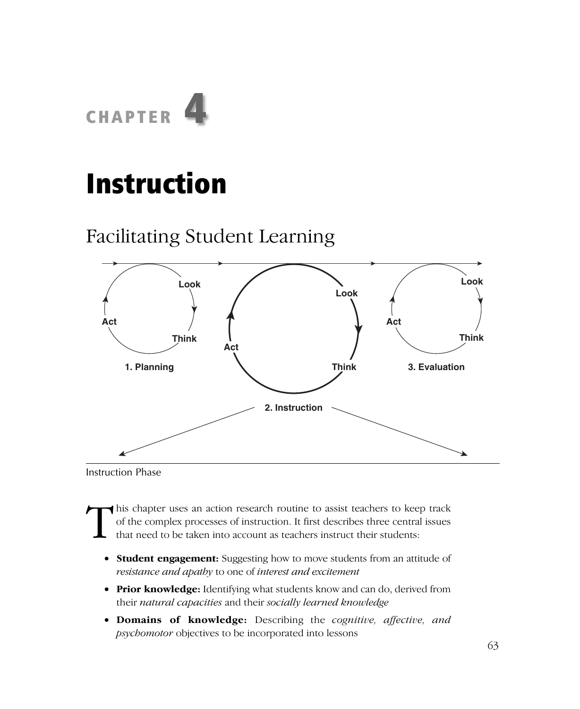

# **Instruction**

## Facilitating Student Learning



Instruction Phase

This chapter uses an action research routine to assist teachers to keep track of the complex processes of instruction. It first describes three central issues that need to be taken into account as teachers instruct their s of the complex processes of instruction. It first describes three central issues that need to be taken into account as teachers instruct their students:

- **Student engagement:** Suggesting how to move students from an attitude of *resistance and apathy* to one of *interest and excitement*
- **Prior knowledge:** Identifying what students know and can do, derived from their *natural capacities* and their *socially learned knowledge*
- **Domains of knowledge:** Describing the *cognitive, affective, and psychomotor* objectives to be incorporated into lessons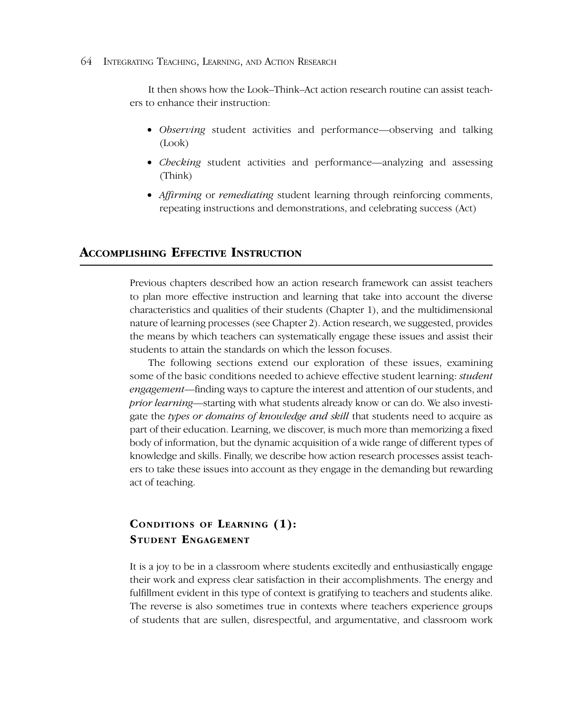It then shows how the Look–Think–Act action research routine can assist teachers to enhance their instruction:

- *Observing* student activities and performance—observing and talking (Look)
- *Checking* student activities and performance—analyzing and assessing (Think)
- *Affirming* or *remediating* student learning through reinforcing comments, repeating instructions and demonstrations, and celebrating success (Act)

## **ACCOMPLISHING EFFECTIVE INSTRUCTION**

Previous chapters described how an action research framework can assist teachers to plan more effective instruction and learning that take into account the diverse characteristics and qualities of their students (Chapter 1), and the multidimensional nature of learning processes (see Chapter 2). Action research, we suggested, provides the means by which teachers can systematically engage these issues and assist their students to attain the standards on which the lesson focuses.

The following sections extend our exploration of these issues, examining some of the basic conditions needed to achieve effective student learning: *student engagement*—finding ways to capture the interest and attention of our students, and *prior learning*—starting with what students already know or can do. We also investigate the *types or domains of knowledge and skill* that students need to acquire as part of their education. Learning, we discover, is much more than memorizing a fixed body of information, but the dynamic acquisition of a wide range of different types of knowledge and skills. Finally, we describe how action research processes assist teachers to take these issues into account as they engage in the demanding but rewarding act of teaching.

## **CONDITIONS OF LEARNING (1): STUDENT ENGAGEMENT**

It is a joy to be in a classroom where students excitedly and enthusiastically engage their work and express clear satisfaction in their accomplishments. The energy and fulfillment evident in this type of context is gratifying to teachers and students alike. The reverse is also sometimes true in contexts where teachers experience groups of students that are sullen, disrespectful, and argumentative, and classroom work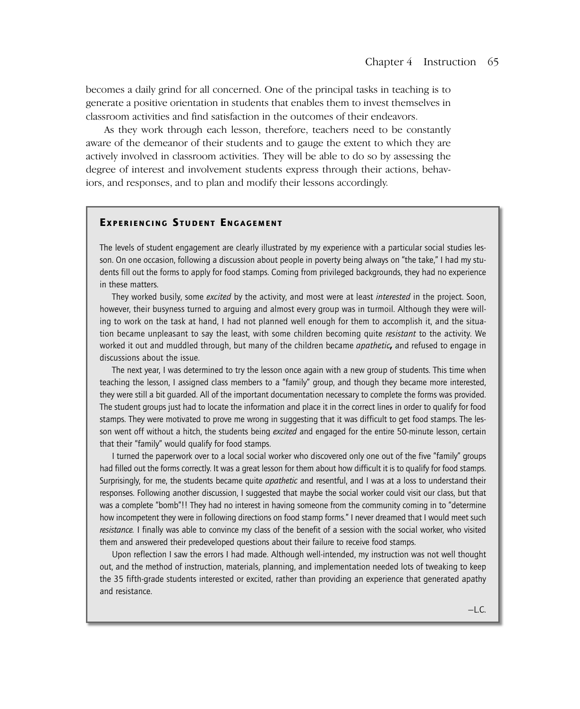becomes a daily grind for all concerned. One of the principal tasks in teaching is to generate a positive orientation in students that enables them to invest themselves in classroom activities and find satisfaction in the outcomes of their endeavors.

As they work through each lesson, therefore, teachers need to be constantly aware of the demeanor of their students and to gauge the extent to which they are actively involved in classroom activities. They will be able to do so by assessing the degree of interest and involvement students express through their actions, behaviors, and responses, and to plan and modify their lessons accordingly.

#### **EXPERIENCING STUDENT ENGAGEMENT**

The levels of student engagement are clearly illustrated by my experience with a particular social studies lesson. On one occasion, following a discussion about people in poverty being always on "the take," I had my students fill out the forms to apply for food stamps. Coming from privileged backgrounds, they had no experience in these matters.

They worked busily, some *excited* by the activity, and most were at least *interested* in the project. Soon, however, their busyness turned to arguing and almost every group was in turmoil. Although they were willing to work on the task at hand, I had not planned well enough for them to accomplish it, and the situation became unpleasant to say the least, with some children becoming quite *resistant* to the activity. We worked it out and muddled through, but many of the children became *apathetic,* and refused to engage in discussions about the issue.

The next year, I was determined to try the lesson once again with a new group of students. This time when teaching the lesson, I assigned class members to a "family" group, and though they became more interested, they were still a bit guarded. All of the important documentation necessary to complete the forms was provided. The student groups just had to locate the information and place it in the correct lines in order to qualify for food stamps. They were motivated to prove me wrong in suggesting that it was difficult to get food stamps. The lesson went off without a hitch, the students being *excited* and engaged for the entire 50-minute lesson, certain that their "family" would qualify for food stamps.

I turned the paperwork over to a local social worker who discovered only one out of the five "family" groups had filled out the forms correctly. It was a great lesson for them about how difficult it is to qualify for food stamps. Surprisingly, for me, the students became quite *apathetic* and resentful, and I was at a loss to understand their responses. Following another discussion, I suggested that maybe the social worker could visit our class, but that was a complete "bomb"!! They had no interest in having someone from the community coming in to "determine how incompetent they were in following directions on food stamp forms." I never dreamed that I would meet such *resistance.* I finally was able to convince my class of the benefit of a session with the social worker, who visited them and answered their predeveloped questions about their failure to receive food stamps.

Upon reflection I saw the errors I had made. Although well-intended, my instruction was not well thought out, and the method of instruction, materials, planning, and implementation needed lots of tweaking to keep the 35 fifth-grade students interested or excited, rather than providing an experience that generated apathy and resistance.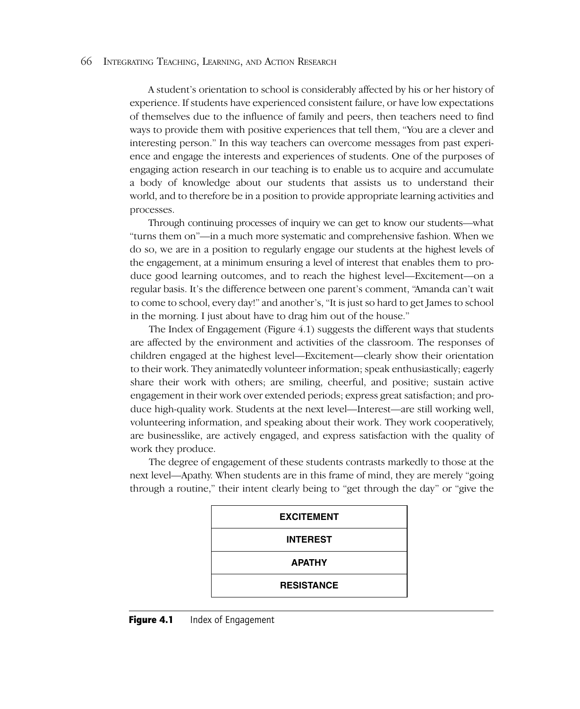A student's orientation to school is considerably affected by his or her history of experience. If students have experienced consistent failure, or have low expectations of themselves due to the influence of family and peers, then teachers need to find ways to provide them with positive experiences that tell them, "You are a clever and interesting person." In this way teachers can overcome messages from past experience and engage the interests and experiences of students. One of the purposes of engaging action research in our teaching is to enable us to acquire and accumulate a body of knowledge about our students that assists us to understand their world, and to therefore be in a position to provide appropriate learning activities and processes.

Through continuing processes of inquiry we can get to know our students—what "turns them on"—in a much more systematic and comprehensive fashion. When we do so, we are in a position to regularly engage our students at the highest levels of the engagement, at a minimum ensuring a level of interest that enables them to produce good learning outcomes, and to reach the highest level—Excitement—on a regular basis. It's the difference between one parent's comment, "Amanda can't wait to come to school, every day!" and another's, "It is just so hard to get James to school in the morning. I just about have to drag him out of the house."

The Index of Engagement (Figure 4.1) suggests the different ways that students are affected by the environment and activities of the classroom. The responses of children engaged at the highest level—Excitement—clearly show their orientation to their work. They animatedly volunteer information; speak enthusiastically; eagerly share their work with others; are smiling, cheerful, and positive; sustain active engagement in their work over extended periods; express great satisfaction; and produce high-quality work. Students at the next level—Interest—are still working well, volunteering information, and speaking about their work. They work cooperatively, are businesslike, are actively engaged, and express satisfaction with the quality of work they produce.

The degree of engagement of these students contrasts markedly to those at the next level—Apathy. When students are in this frame of mind, they are merely "going through a routine," their intent clearly being to "get through the day" or "give the



**Figure 4.1** Index of Engagement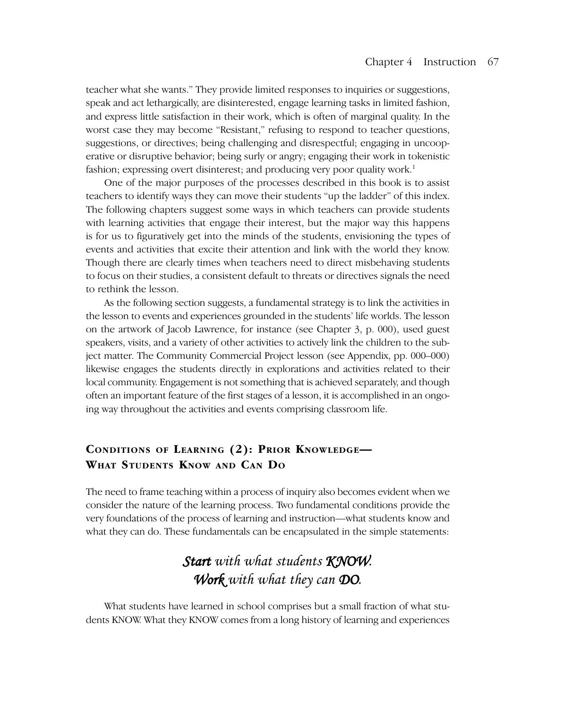teacher what she wants." They provide limited responses to inquiries or suggestions, speak and act lethargically, are disinterested, engage learning tasks in limited fashion, and express little satisfaction in their work, which is often of marginal quality. In the worst case they may become "Resistant," refusing to respond to teacher questions, suggestions, or directives; being challenging and disrespectful; engaging in uncooperative or disruptive behavior; being surly or angry; engaging their work in tokenistic fashion; expressing overt disinterest; and producing very poor quality work.<sup>1</sup>

One of the major purposes of the processes described in this book is to assist teachers to identify ways they can move their students "up the ladder" of this index. The following chapters suggest some ways in which teachers can provide students with learning activities that engage their interest, but the major way this happens is for us to figuratively get into the minds of the students, envisioning the types of events and activities that excite their attention and link with the world they know. Though there are clearly times when teachers need to direct misbehaving students to focus on their studies, a consistent default to threats or directives signals the need to rethink the lesson.

As the following section suggests, a fundamental strategy is to link the activities in the lesson to events and experiences grounded in the students' life worlds. The lesson on the artwork of Jacob Lawrence, for instance (see Chapter 3, p. 000), used guest speakers, visits, and a variety of other activities to actively link the children to the subject matter. The Community Commercial Project lesson (see Appendix, pp. 000–000) likewise engages the students directly in explorations and activities related to their local community. Engagement is not something that is achieved separately, and though often an important feature of the first stages of a lesson, it is accomplished in an ongoing way throughout the activities and events comprising classroom life.

## **CONDITIONS OF LEARNING (2): PRIOR KNOWLEDGE— WHAT STUDENTS KNOW AND CAN DO**

The need to frame teaching within a process of inquiry also becomes evident when we consider the nature of the learning process. Two fundamental conditions provide the very foundations of the process of learning and instruction—what students know and what they can do. These fundamentals can be encapsulated in the simple statements:

## *Start with what students KNOW. Work with what they can DO.*

What students have learned in school comprises but a small fraction of what students KNOW. What they KNOW comes from a long history of learning and experiences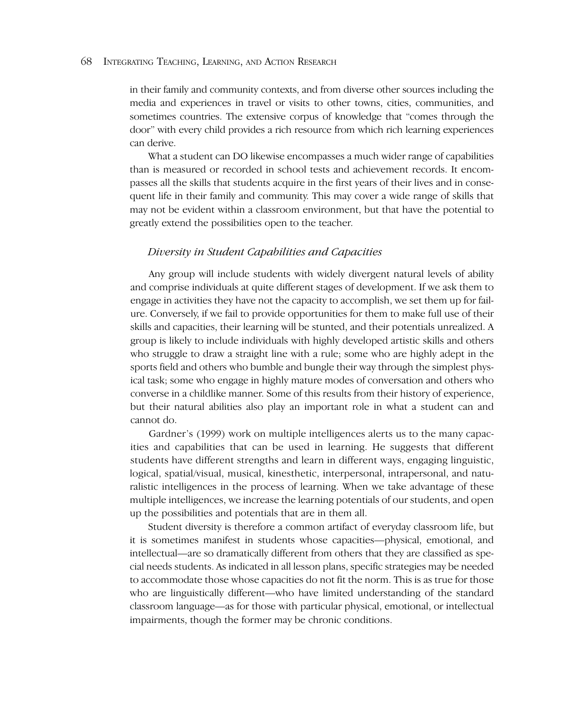in their family and community contexts, and from diverse other sources including the media and experiences in travel or visits to other towns, cities, communities, and sometimes countries. The extensive corpus of knowledge that "comes through the door" with every child provides a rich resource from which rich learning experiences can derive.

What a student can DO likewise encompasses a much wider range of capabilities than is measured or recorded in school tests and achievement records. It encompasses all the skills that students acquire in the first years of their lives and in consequent life in their family and community. This may cover a wide range of skills that may not be evident within a classroom environment, but that have the potential to greatly extend the possibilities open to the teacher.

#### *Diversity in Student Capabilities and Capacities*

Any group will include students with widely divergent natural levels of ability and comprise individuals at quite different stages of development. If we ask them to engage in activities they have not the capacity to accomplish, we set them up for failure. Conversely, if we fail to provide opportunities for them to make full use of their skills and capacities, their learning will be stunted, and their potentials unrealized. A group is likely to include individuals with highly developed artistic skills and others who struggle to draw a straight line with a rule; some who are highly adept in the sports field and others who bumble and bungle their way through the simplest physical task; some who engage in highly mature modes of conversation and others who converse in a childlike manner. Some of this results from their history of experience, but their natural abilities also play an important role in what a student can and cannot do.

Gardner's (1999) work on multiple intelligences alerts us to the many capacities and capabilities that can be used in learning. He suggests that different students have different strengths and learn in different ways, engaging linguistic, logical, spatial/visual, musical, kinesthetic, interpersonal, intrapersonal, and naturalistic intelligences in the process of learning. When we take advantage of these multiple intelligences, we increase the learning potentials of our students, and open up the possibilities and potentials that are in them all.

Student diversity is therefore a common artifact of everyday classroom life, but it is sometimes manifest in students whose capacities—physical, emotional, and intellectual—are so dramatically different from others that they are classified as special needs students. As indicated in all lesson plans, specific strategies may be needed to accommodate those whose capacities do not fit the norm. This is as true for those who are linguistically different—who have limited understanding of the standard classroom language—as for those with particular physical, emotional, or intellectual impairments, though the former may be chronic conditions.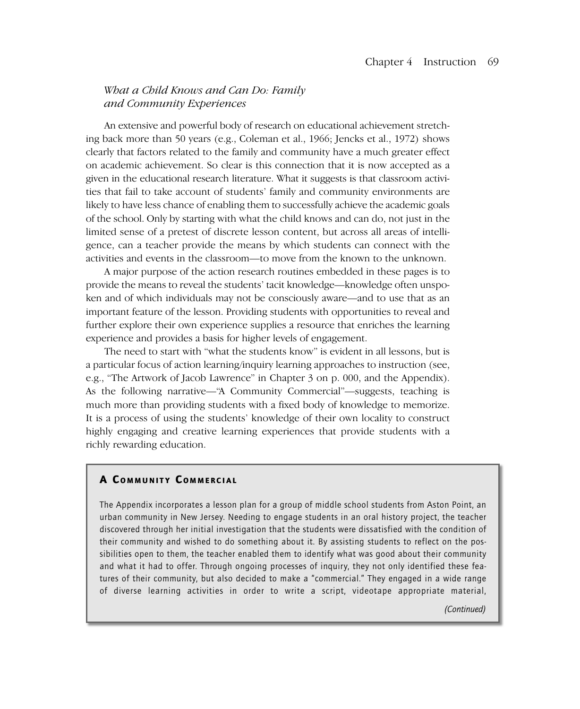## *What a Child Knows and Can Do: Family and Community Experiences*

An extensive and powerful body of research on educational achievement stretching back more than 50 years (e.g., Coleman et al., 1966; Jencks et al., 1972) shows clearly that factors related to the family and community have a much greater effect on academic achievement. So clear is this connection that it is now accepted as a given in the educational research literature. What it suggests is that classroom activities that fail to take account of students' family and community environments are likely to have less chance of enabling them to successfully achieve the academic goals of the school. Only by starting with what the child knows and can do, not just in the limited sense of a pretest of discrete lesson content, but across all areas of intelligence, can a teacher provide the means by which students can connect with the activities and events in the classroom—to move from the known to the unknown.

A major purpose of the action research routines embedded in these pages is to provide the means to reveal the students' tacit knowledge—knowledge often unspoken and of which individuals may not be consciously aware—and to use that as an important feature of the lesson. Providing students with opportunities to reveal and further explore their own experience supplies a resource that enriches the learning experience and provides a basis for higher levels of engagement.

The need to start with "what the students know" is evident in all lessons, but is a particular focus of action learning/inquiry learning approaches to instruction (see, e.g., "The Artwork of Jacob Lawrence" in Chapter 3 on p. 000, and the Appendix). As the following narrative—"A Community Commercial"—suggests, teaching is much more than providing students with a fixed body of knowledge to memorize. It is a process of using the students' knowledge of their own locality to construct highly engaging and creative learning experiences that provide students with a richly rewarding education.

### **A CO M M U NI T Y CO M M E R C I A L**

The Appendix incorporates a lesson plan for a group of middle school students from Aston Point, an urban community in New Jersey. Needing to engage students in an oral history project, the teacher discovered through her initial investigation that the students were dissatisfied with the condition of their community and wished to do something about it. By assisting students to reflect on the possibilities open to them, the teacher enabled them to identify what was good about their community and what it had to offer. Through ongoing processes of inquiry, they not only identified these features of their community, but also decided to make a "commercial." They engaged in a wide range of diverse learning activities in order to write a script, videotape appropriate material,

*(Continued)*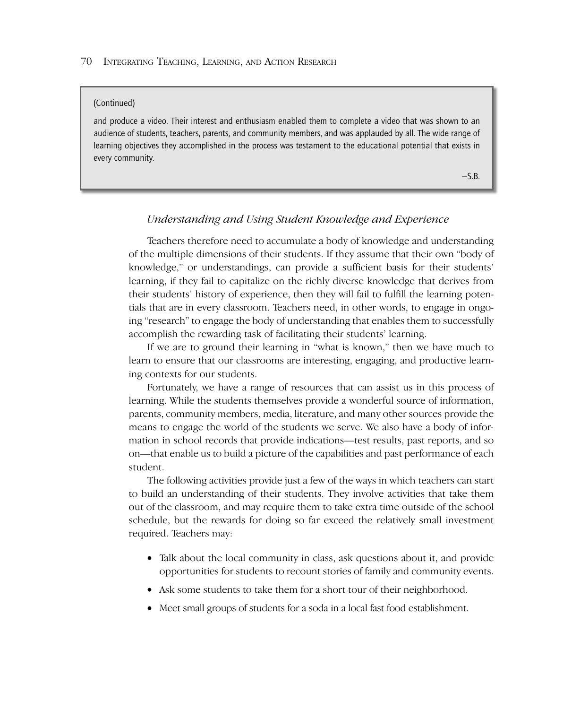#### (Continued)

and produce a video. Their interest and enthusiasm enabled them to complete a video that was shown to an audience of students, teachers, parents, and community members, and was applauded by all. The wide range of learning objectives they accomplished in the process was testament to the educational potential that exists in every community.

 $-S.B.$ 

#### *Understanding and Using Student Knowledge and Experience*

Teachers therefore need to accumulate a body of knowledge and understanding of the multiple dimensions of their students. If they assume that their own "body of knowledge," or understandings, can provide a sufficient basis for their students' learning, if they fail to capitalize on the richly diverse knowledge that derives from their students' history of experience, then they will fail to fulfill the learning potentials that are in every classroom. Teachers need, in other words, to engage in ongoing "research" to engage the body of understanding that enables them to successfully accomplish the rewarding task of facilitating their students' learning.

If we are to ground their learning in "what is known," then we have much to learn to ensure that our classrooms are interesting, engaging, and productive learning contexts for our students.

Fortunately, we have a range of resources that can assist us in this process of learning. While the students themselves provide a wonderful source of information, parents, community members, media, literature, and many other sources provide the means to engage the world of the students we serve. We also have a body of information in school records that provide indications—test results, past reports, and so on—that enable us to build a picture of the capabilities and past performance of each student.

The following activities provide just a few of the ways in which teachers can start to build an understanding of their students. They involve activities that take them out of the classroom, and may require them to take extra time outside of the school schedule, but the rewards for doing so far exceed the relatively small investment required. Teachers may:

- Talk about the local community in class, ask questions about it, and provide opportunities for students to recount stories of family and community events.
- Ask some students to take them for a short tour of their neighborhood.
- Meet small groups of students for a soda in a local fast food establishment.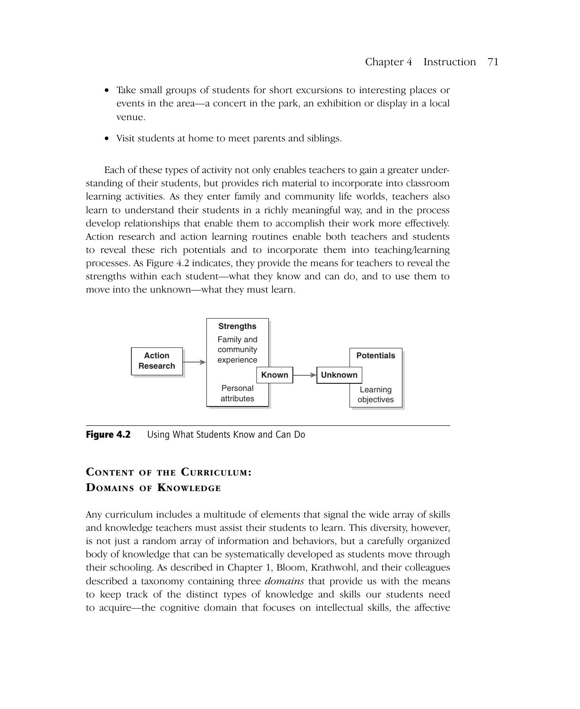- Take small groups of students for short excursions to interesting places or events in the area—a concert in the park, an exhibition or display in a local venue.
- Visit students at home to meet parents and siblings.

Each of these types of activity not only enables teachers to gain a greater understanding of their students, but provides rich material to incorporate into classroom learning activities. As they enter family and community life worlds, teachers also learn to understand their students in a richly meaningful way, and in the process develop relationships that enable them to accomplish their work more effectively. Action research and action learning routines enable both teachers and students to reveal these rich potentials and to incorporate them into teaching/learning processes. As Figure 4.2 indicates, they provide the means for teachers to reveal the strengths within each student—what they know and can do, and to use them to move into the unknown—what they must learn.



**Figure 4.2** Using What Students Know and Can Do

## **CONTENT OF THE CURRICULUM: DOMAINS OF KNOWLEDGE**

Any curriculum includes a multitude of elements that signal the wide array of skills and knowledge teachers must assist their students to learn. This diversity, however, is not just a random array of information and behaviors, but a carefully organized body of knowledge that can be systematically developed as students move through their schooling. As described in Chapter 1, Bloom, Krathwohl, and their colleagues described a taxonomy containing three *domains* that provide us with the means to keep track of the distinct types of knowledge and skills our students need to acquire—the cognitive domain that focuses on intellectual skills, the affective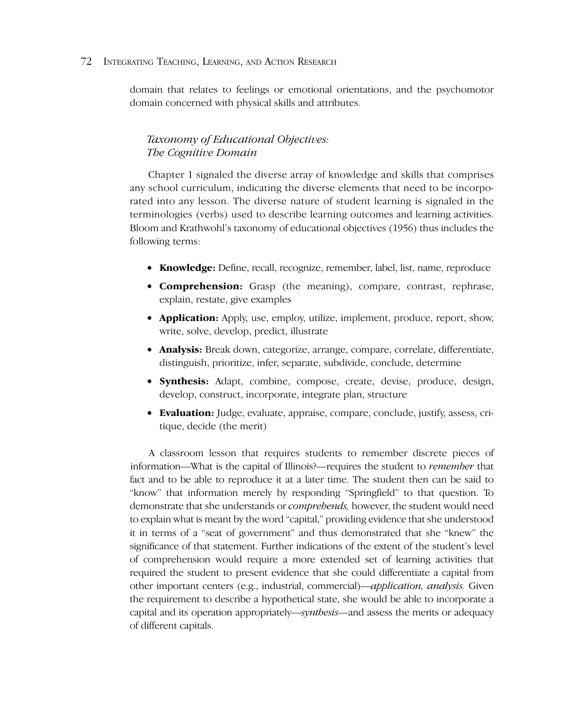domain that relates to feelings or emotional orientations, and the psychomotor domain concerned with physical skills and attributes.

## *Taxonomy of Educational Objectives: The Cognitive Domain*

Chapter 1 signaled the diverse array of knowledge and skills that comprises any school curriculum, indicating the diverse elements that need to be incorporated into any lesson. The diverse nature of student learning is signaled in the terminologies (verbs) used to describe learning outcomes and learning activities. Bloom and Krathwohl's taxonomy of educational objectives (1956) thus includes the following terms:

- **Knowledge:** Define, recall, recognize, remember, label, list, name, reproduce
- **Comprehension:** Grasp (the meaning), compare, contrast, rephrase, explain, restate, give examples
- **Application:** Apply, use, employ, utilize, implement, produce, report, show, write, solve, develop, predict, illustrate
- **Analysis:** Break down, categorize, arrange, compare, correlate, differentiate, distinguish, prioritize, infer, separate, subdivide, conclude, determine
- **Synthesis:** Adapt, combine, compose, create, devise, produce, design, develop, construct, incorporate, integrate plan, structure
- **Evaluation:** Judge, evaluate, appraise, compare, conclude, justify, assess, critique, decide (the merit)

A classroom lesson that requires students to remember discrete pieces of information—What is the capital of Illinois?—requires the student to *remember* that fact and to be able to reproduce it at a later time. The student then can be said to "know" that information merely by responding "Springfield" to that question. To demonstrate that she understands or *comprehends,* however, the student would need to explain what is meant by the word "capital," providing evidence that she understood it in terms of a "seat of government" and thus demonstrated that she "knew" the significance of that statement. Further indications of the extent of the student's level of comprehension would require a more extended set of learning activities that required the student to present evidence that she could differentiate a capital from other important centers (e.g., industrial, commercial)—*application, analysis.* Given the requirement to describe a hypothetical state, she would be able to incorporate a capital and its operation appropriately—*synthesis*—and assess the merits or adequacy of different capitals.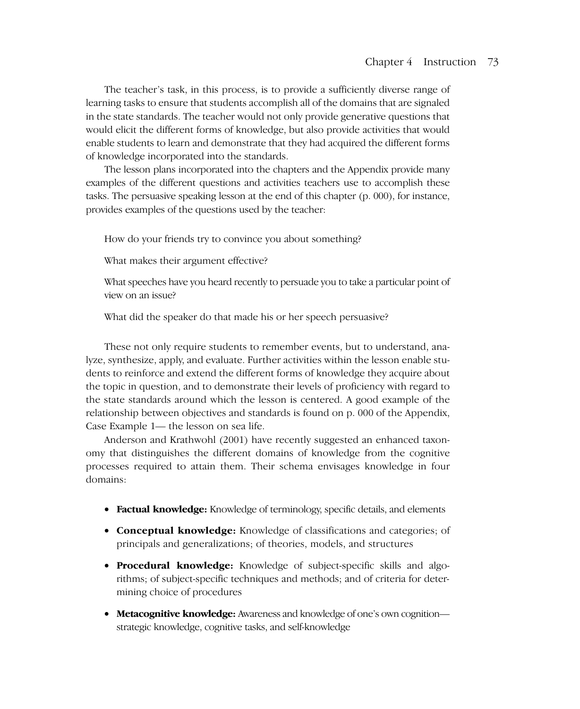#### Chapter 4 Instruction 73

The teacher's task, in this process, is to provide a sufficiently diverse range of learning tasks to ensure that students accomplish all of the domains that are signaled in the state standards. The teacher would not only provide generative questions that would elicit the different forms of knowledge, but also provide activities that would enable students to learn and demonstrate that they had acquired the different forms of knowledge incorporated into the standards.

The lesson plans incorporated into the chapters and the Appendix provide many examples of the different questions and activities teachers use to accomplish these tasks. The persuasive speaking lesson at the end of this chapter (p. 000), for instance, provides examples of the questions used by the teacher:

How do your friends try to convince you about something?

What makes their argument effective?

What speeches have you heard recently to persuade you to take a particular point of view on an issue?

What did the speaker do that made his or her speech persuasive?

These not only require students to remember events, but to understand, analyze, synthesize, apply, and evaluate. Further activities within the lesson enable students to reinforce and extend the different forms of knowledge they acquire about the topic in question, and to demonstrate their levels of proficiency with regard to the state standards around which the lesson is centered. A good example of the relationship between objectives and standards is found on p. 000 of the Appendix, Case Example 1— the lesson on sea life.

Anderson and Krathwohl (2001) have recently suggested an enhanced taxonomy that distinguishes the different domains of knowledge from the cognitive processes required to attain them. Their schema envisages knowledge in four domains:

- **Factual knowledge:** Knowledge of terminology, specific details, and elements
- **Conceptual knowledge:** Knowledge of classifications and categories; of principals and generalizations; of theories, models, and structures
- **Procedural knowledge:** Knowledge of subject-specific skills and algorithms; of subject-specific techniques and methods; and of criteria for determining choice of procedures
- **Metacognitive knowledge:** Awareness and knowledge of one's own cognition strategic knowledge, cognitive tasks, and self-knowledge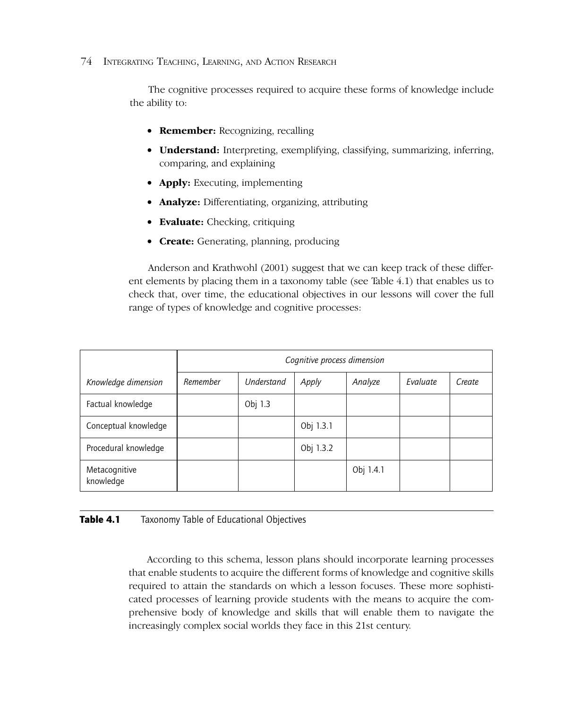The cognitive processes required to acquire these forms of knowledge include the ability to:

- **Remember:** Recognizing, recalling
- **Understand:** Interpreting, exemplifying, classifying, summarizing, inferring, comparing, and explaining
- **Apply:** Executing, implementing
- **Analyze:** Differentiating, organizing, attributing
- **Evaluate:** Checking, critiquing
- **Create:** Generating, planning, producing

Anderson and Krathwohl (2001) suggest that we can keep track of these different elements by placing them in a taxonomy table (see Table 4.1) that enables us to check that, over time, the educational objectives in our lessons will cover the full range of types of knowledge and cognitive processes:

|                            | Cognitive process dimension |            |           |           |          |        |
|----------------------------|-----------------------------|------------|-----------|-----------|----------|--------|
| Knowledge dimension        | Remember                    | Understand | Apply     | Analyze   | Evaluate | Create |
| Factual knowledge          |                             | Obj 1.3    |           |           |          |        |
| Conceptual knowledge       |                             |            | Obj 1.3.1 |           |          |        |
| Procedural knowledge       |                             |            | Obj 1.3.2 |           |          |        |
| Metacognitive<br>knowledge |                             |            |           | Obj 1.4.1 |          |        |

#### **Table 4.1** Taxonomy Table of Educational Objectives

According to this schema, lesson plans should incorporate learning processes that enable students to acquire the different forms of knowledge and cognitive skills required to attain the standards on which a lesson focuses. These more sophisticated processes of learning provide students with the means to acquire the comprehensive body of knowledge and skills that will enable them to navigate the increasingly complex social worlds they face in this 21st century.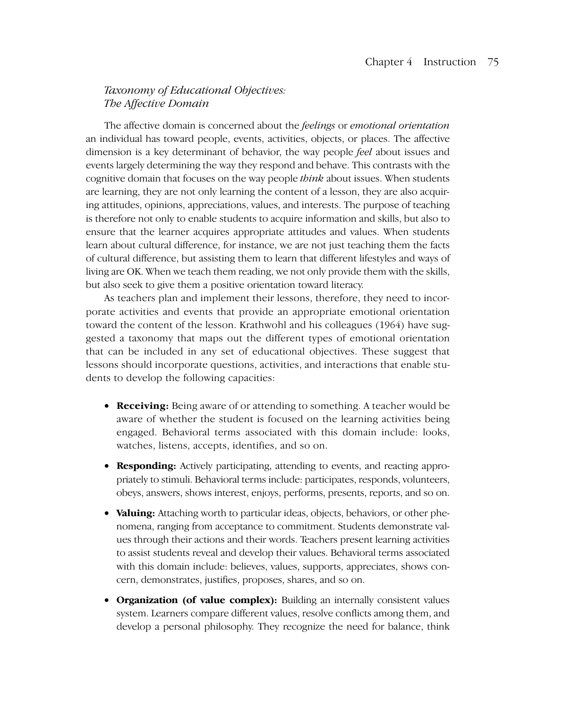#### Chapter 4 Instruction 75

## *Taxonomy of Educational Objectives: The Affective Domain*

The affective domain is concerned about the *feelings* or *emotional orientation* an individual has toward people, events, activities, objects, or places. The affective dimension is a key determinant of behavior, the way people *feel* about issues and events largely determining the way they respond and behave. This contrasts with the cognitive domain that focuses on the way people *think* about issues. When students are learning, they are not only learning the content of a lesson, they are also acquiring attitudes, opinions, appreciations, values, and interests. The purpose of teaching is therefore not only to enable students to acquire information and skills, but also to ensure that the learner acquires appropriate attitudes and values. When students learn about cultural difference, for instance, we are not just teaching them the facts of cultural difference, but assisting them to learn that different lifestyles and ways of living are OK. When we teach them reading, we not only provide them with the skills, but also seek to give them a positive orientation toward literacy.

As teachers plan and implement their lessons, therefore, they need to incorporate activities and events that provide an appropriate emotional orientation toward the content of the lesson. Krathwohl and his colleagues (1964) have suggested a taxonomy that maps out the different types of emotional orientation that can be included in any set of educational objectives. These suggest that lessons should incorporate questions, activities, and interactions that enable students to develop the following capacities:

- **Receiving:** Being aware of or attending to something. A teacher would be aware of whether the student is focused on the learning activities being engaged. Behavioral terms associated with this domain include: looks, watches, listens, accepts, identifies, and so on.
- **Responding:** Actively participating, attending to events, and reacting appropriately to stimuli. Behavioral terms include: participates, responds, volunteers, obeys, answers, shows interest, enjoys, performs, presents, reports, and so on.
- **Valuing:** Attaching worth to particular ideas, objects, behaviors, or other phenomena, ranging from acceptance to commitment. Students demonstrate values through their actions and their words. Teachers present learning activities to assist students reveal and develop their values. Behavioral terms associated with this domain include: believes, values, supports, appreciates, shows concern, demonstrates, justifies, proposes, shares, and so on.
- **Organization (of value complex):** Building an internally consistent values system. Learners compare different values, resolve conflicts among them, and develop a personal philosophy. They recognize the need for balance, think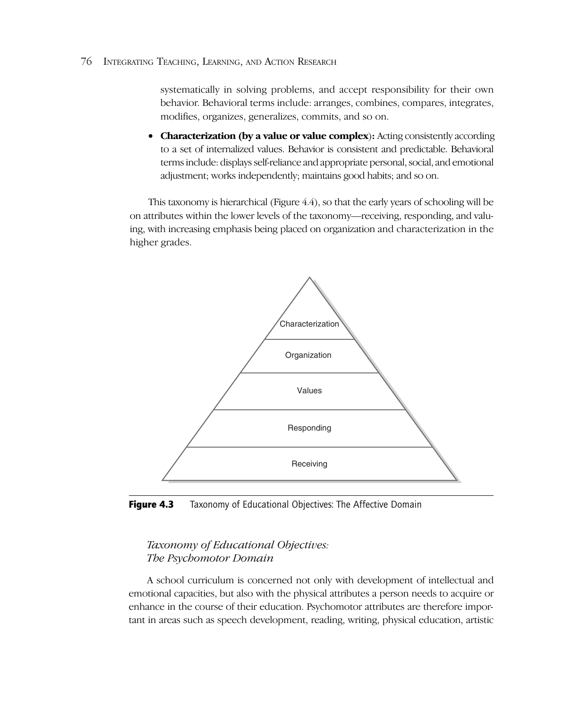systematically in solving problems, and accept responsibility for their own behavior. Behavioral terms include: arranges, combines, compares, integrates, modifies, organizes, generalizes, commits, and so on.

• **Characterization (by a value or value complex**)**:** Acting consistently according to a set of internalized values. Behavior is consistent and predictable. Behavioral terms include: displays self-reliance and appropriate personal, social, and emotional adjustment; works independently; maintains good habits; and so on.

This taxonomy is hierarchical (Figure 4.4), so that the early years of schooling will be on attributes within the lower levels of the taxonomy—receiving, responding, and valuing, with increasing emphasis being placed on organization and characterization in the higher grades.



**Figure 4.3** Taxonomy of Educational Objectives: The Affective Domain

## *Taxonomy of Educational Objectives: The Psychomotor Domain*

A school curriculum is concerned not only with development of intellectual and emotional capacities, but also with the physical attributes a person needs to acquire or enhance in the course of their education. Psychomotor attributes are therefore important in areas such as speech development, reading, writing, physical education, artistic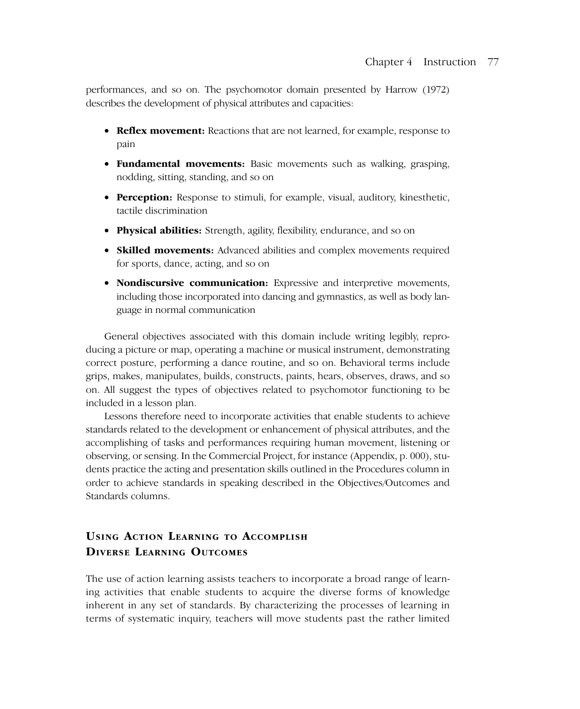performances, and so on. The psychomotor domain presented by Harrow (1972) describes the development of physical attributes and capacities:

- **Reflex movement:** Reactions that are not learned, for example, response to pain
- **Fundamental movements:** Basic movements such as walking, grasping, nodding, sitting, standing, and so on
- **Perception:** Response to stimuli, for example, visual, auditory, kinesthetic, tactile discrimination
- **Physical abilities:** Strength, agility, flexibility, endurance, and so on
- **Skilled movements:** Advanced abilities and complex movements required for sports, dance, acting, and so on
- **Nondiscursive communication:** Expressive and interpretive movements, including those incorporated into dancing and gymnastics, as well as body language in normal communication

General objectives associated with this domain include writing legibly, reproducing a picture or map, operating a machine or musical instrument, demonstrating correct posture, performing a dance routine, and so on. Behavioral terms include grips, makes, manipulates, builds, constructs, paints, hears, observes, draws, and so on. All suggest the types of objectives related to psychomotor functioning to be included in a lesson plan.

Lessons therefore need to incorporate activities that enable students to achieve standards related to the development or enhancement of physical attributes, and the accomplishing of tasks and performances requiring human movement, listening or observing, or sensing. In the Commercial Project, for instance (Appendix, p. 000), students practice the acting and presentation skills outlined in the Procedures column in order to achieve standards in speaking described in the Objectives/Outcomes and Standards columns.

## **USING ACTION LEARNING TO ACCOMPLISH DIVERSE LEARNING OUTCOMES**

The use of action learning assists teachers to incorporate a broad range of learning activities that enable students to acquire the diverse forms of knowledge inherent in any set of standards. By characterizing the processes of learning in terms of systematic inquiry, teachers will move students past the rather limited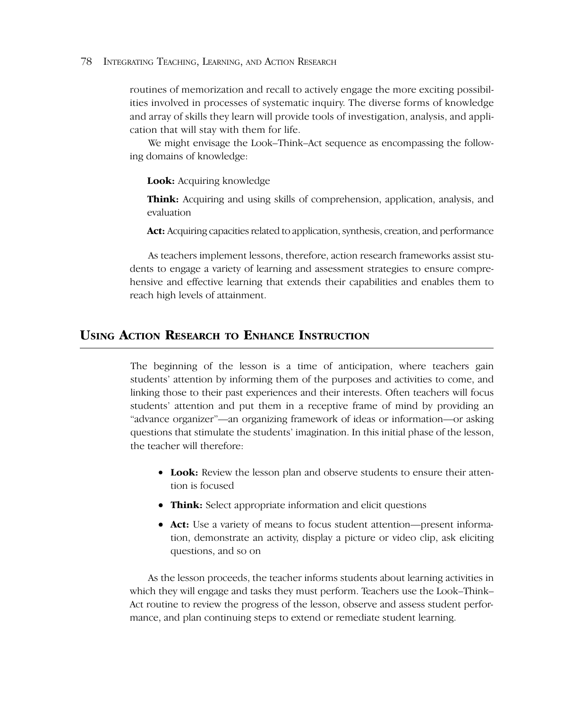routines of memorization and recall to actively engage the more exciting possibilities involved in processes of systematic inquiry. The diverse forms of knowledge and array of skills they learn will provide tools of investigation, analysis, and application that will stay with them for life.

We might envisage the Look–Think–Act sequence as encompassing the following domains of knowledge:

**Look:** Acquiring knowledge

**Think:** Acquiring and using skills of comprehension, application, analysis, and evaluation

**Act:** Acquiring capacities related to application, synthesis, creation, and performance

As teachers implement lessons, therefore, action research frameworks assist students to engage a variety of learning and assessment strategies to ensure comprehensive and effective learning that extends their capabilities and enables them to reach high levels of attainment.

## **USING ACTION RESEARCH TO ENHANCE INSTRUCTION**

The beginning of the lesson is a time of anticipation, where teachers gain students' attention by informing them of the purposes and activities to come, and linking those to their past experiences and their interests. Often teachers will focus students' attention and put them in a receptive frame of mind by providing an "advance organizer"—an organizing framework of ideas or information—or asking questions that stimulate the students' imagination. In this initial phase of the lesson, the teacher will therefore:

- **Look:** Review the lesson plan and observe students to ensure their attention is focused
- **Think:** Select appropriate information and elicit questions
- **Act:** Use a variety of means to focus student attention—present information, demonstrate an activity, display a picture or video clip, ask eliciting questions, and so on

As the lesson proceeds, the teacher informs students about learning activities in which they will engage and tasks they must perform. Teachers use the Look–Think– Act routine to review the progress of the lesson, observe and assess student performance, and plan continuing steps to extend or remediate student learning.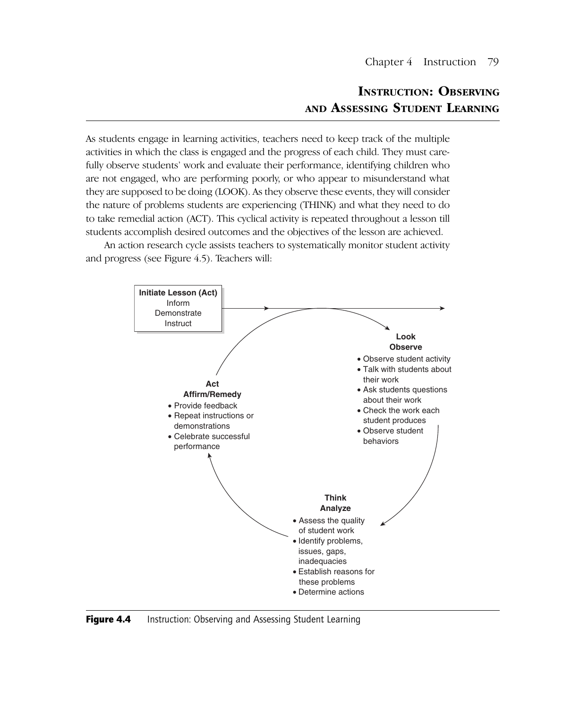## **INSTRUCTION: OBSERVING AND ASSESSING STUDENT LEARNING**

As students engage in learning activities, teachers need to keep track of the multiple activities in which the class is engaged and the progress of each child. They must carefully observe students' work and evaluate their performance, identifying children who are not engaged, who are performing poorly, or who appear to misunderstand what they are supposed to be doing (LOOK). As they observe these events, they will consider the nature of problems students are experiencing (THINK) and what they need to do to take remedial action (ACT). This cyclical activity is repeated throughout a lesson till students accomplish desired outcomes and the objectives of the lesson are achieved.

An action research cycle assists teachers to systematically monitor student activity and progress (see Figure 4.5). Teachers will:



**Figure 4.4** Instruction: Observing and Assessing Student Learning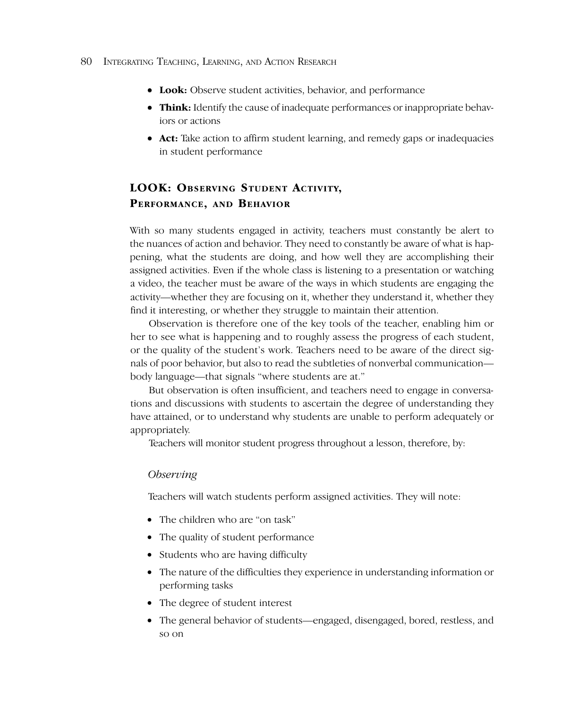- **Look:** Observe student activities, behavior, and performance
- **Think:** Identify the cause of inadequate performances or inappropriate behaviors or actions
- **Act:** Take action to affirm student learning, and remedy gaps or inadequacies in student performance

## **LOOK: OBSERVING STUDENT ACTIVITY, PERFORMANCE, AND BEHAVIOR**

With so many students engaged in activity, teachers must constantly be alert to the nuances of action and behavior. They need to constantly be aware of what is happening, what the students are doing, and how well they are accomplishing their assigned activities. Even if the whole class is listening to a presentation or watching a video, the teacher must be aware of the ways in which students are engaging the activity—whether they are focusing on it, whether they understand it, whether they find it interesting, or whether they struggle to maintain their attention.

Observation is therefore one of the key tools of the teacher, enabling him or her to see what is happening and to roughly assess the progress of each student, or the quality of the student's work. Teachers need to be aware of the direct signals of poor behavior, but also to read the subtleties of nonverbal communication body language—that signals "where students are at."

But observation is often insufficient, and teachers need to engage in conversations and discussions with students to ascertain the degree of understanding they have attained, or to understand why students are unable to perform adequately or appropriately.

Teachers will monitor student progress throughout a lesson, therefore, by:

#### *Observing*

Teachers will watch students perform assigned activities. They will note:

- The children who are "on task"
- The quality of student performance
- Students who are having difficulty
- The nature of the difficulties they experience in understanding information or performing tasks
- The degree of student interest
- The general behavior of students—engaged, disengaged, bored, restless, and so on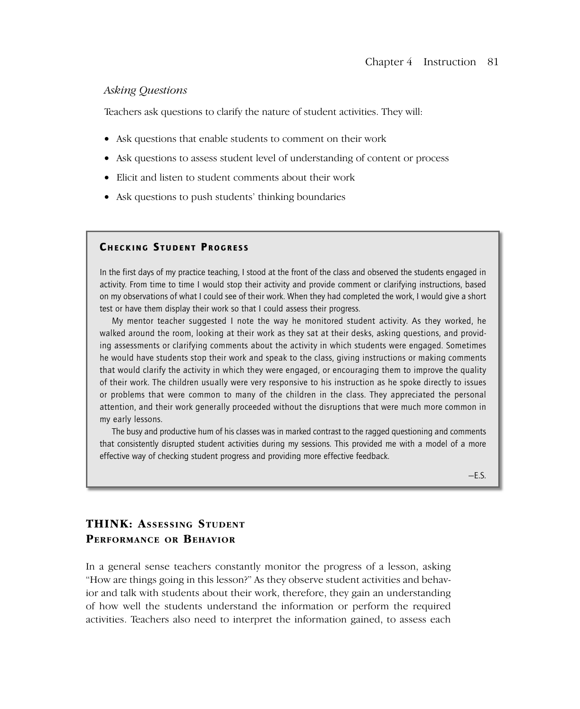#### *Asking Questions*

Teachers ask questions to clarify the nature of student activities. They will:

- Ask questions that enable students to comment on their work
- Ask questions to assess student level of understanding of content or process
- Elicit and listen to student comments about their work
- Ask questions to push students' thinking boundaries

#### $C$  **HECKING** STUDENT PROGRESS

In the first days of my practice teaching, I stood at the front of the class and observed the students engaged in activity. From time to time I would stop their activity and provide comment or clarifying instructions, based on my observations of what I could see of their work. When they had completed the work, I would give a short test or have them display their work so that I could assess their progress.

My mentor teacher suggested I note the way he monitored student activity. As they worked, he walked around the room, looking at their work as they sat at their desks, asking questions, and providing assessments or clarifying comments about the activity in which students were engaged. Sometimes he would have students stop their work and speak to the class, giving instructions or making comments that would clarify the activity in which they were engaged, or encouraging them to improve the quality of their work. The children usually were very responsive to his instruction as he spoke directly to issues or problems that were common to many of the children in the class. They appreciated the personal attention, and their work generally proceeded without the disruptions that were much more common in my early lessons.

The busy and productive hum of his classes was in marked contrast to the ragged questioning and comments that consistently disrupted student activities during my sessions. This provided me with a model of a more effective way of checking student progress and providing more effective feedback.

 $-F.S.$ 

## **THINK: ASSESSING STUDENT PERFORMANCE OR BEHAVIOR**

In a general sense teachers constantly monitor the progress of a lesson, asking "How are things going in this lesson?" As they observe student activities and behavior and talk with students about their work, therefore, they gain an understanding of how well the students understand the information or perform the required activities. Teachers also need to interpret the information gained, to assess each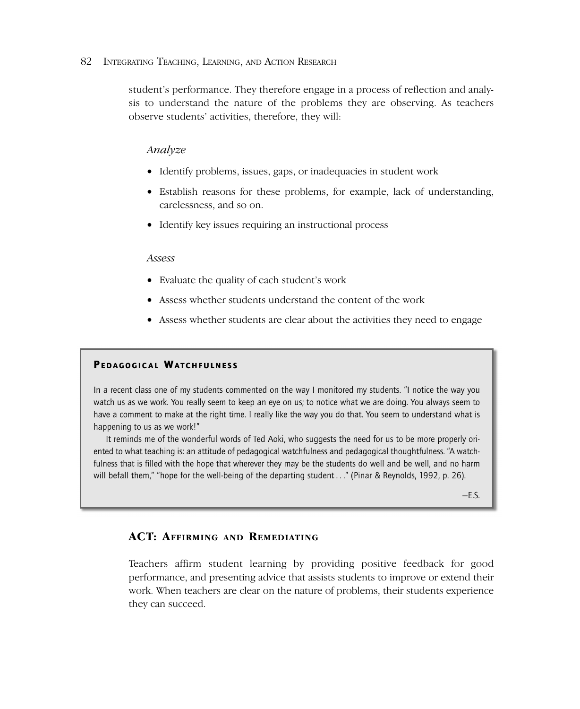student's performance. They therefore engage in a process of reflection and analysis to understand the nature of the problems they are observing. As teachers observe students' activities, therefore, they will:

#### *Analyze*

- Identify problems, issues, gaps, or inadequacies in student work
- Establish reasons for these problems, for example, lack of understanding, carelessness, and so on.
- Identify key issues requiring an instructional process

#### *Assess*

- Evaluate the quality of each student's work
- Assess whether students understand the content of the work
- Assess whether students are clear about the activities they need to engage

## **PEDAGOG I C A L WAT C H F U LNE S S**

In a recent class one of my students commented on the way I monitored my students. "I notice the way you watch us as we work. You really seem to keep an eye on us; to notice what we are doing. You always seem to have a comment to make at the right time. I really like the way you do that. You seem to understand what is happening to us as we work!"

It reminds me of the wonderful words of Ted Aoki, who suggests the need for us to be more properly oriented to what teaching is: an attitude of pedagogical watchfulness and pedagogical thoughtfulness. "A watchfulness that is filled with the hope that wherever they may be the students do well and be well, and no harm will befall them," "hope for the well-being of the departing student . . ." (Pinar & Reynolds, 1992, p. 26).

 $-E.S.$ 

#### **ACT: AFFIRMING AND REMEDIATING**

Teachers affirm student learning by providing positive feedback for good performance, and presenting advice that assists students to improve or extend their work. When teachers are clear on the nature of problems, their students experience they can succeed.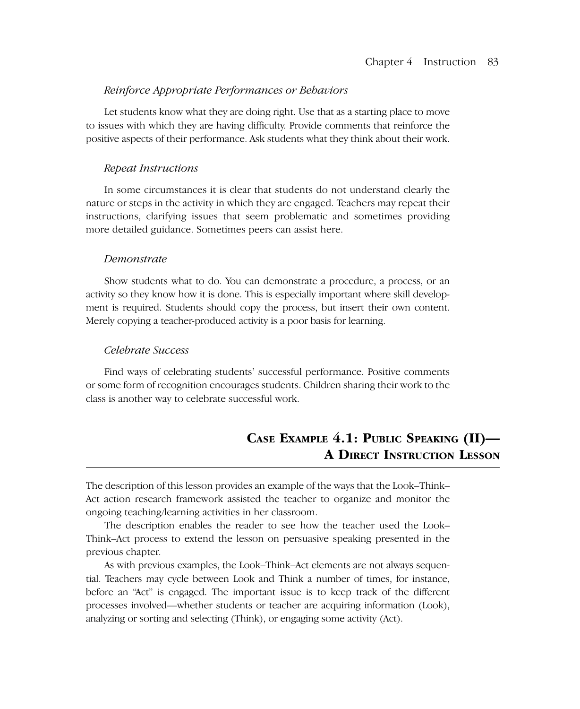#### *Reinforce Appropriate Performances or Behaviors*

Let students know what they are doing right. Use that as a starting place to move to issues with which they are having difficulty. Provide comments that reinforce the positive aspects of their performance. Ask students what they think about their work.

#### *Repeat Instructions*

In some circumstances it is clear that students do not understand clearly the nature or steps in the activity in which they are engaged. Teachers may repeat their instructions, clarifying issues that seem problematic and sometimes providing more detailed guidance. Sometimes peers can assist here.

#### *Demonstrate*

Show students what to do. You can demonstrate a procedure, a process, or an activity so they know how it is done. This is especially important where skill development is required. Students should copy the process, but insert their own content. Merely copying a teacher-produced activity is a poor basis for learning.

#### *Celebrate Success*

Find ways of celebrating students' successful performance. Positive comments or some form of recognition encourages students. Children sharing their work to the class is another way to celebrate successful work.

## **CASE EXAMPLE 4.1: PUBLIC SPEAKING (II)— A DIRECT INSTRUCTION LESSON**

The description of this lesson provides an example of the ways that the Look–Think– Act action research framework assisted the teacher to organize and monitor the ongoing teaching/learning activities in her classroom.

The description enables the reader to see how the teacher used the Look– Think–Act process to extend the lesson on persuasive speaking presented in the previous chapter.

As with previous examples, the Look–Think–Act elements are not always sequential. Teachers may cycle between Look and Think a number of times, for instance, before an "Act" is engaged. The important issue is to keep track of the different processes involved—whether students or teacher are acquiring information (Look), analyzing or sorting and selecting (Think), or engaging some activity (Act).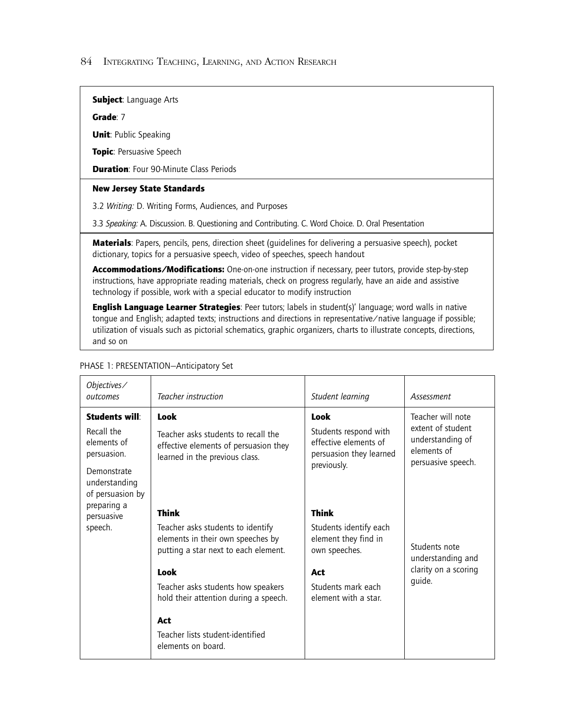**Subject**: Language Arts

#### **Grade**: 7

**Unit**: Public Speaking

**Topic**: Persuasive Speech

**Duration: Four 90-Minute Class Periods** 

#### **New Jersey State Standards**

3.2 *Writing:* D. Writing Forms, Audiences, and Purposes

3.3 *Speaking:* A. Discussion. B. Questioning and Contributing. C. Word Choice. D. Oral Presentation

**Materials**: Papers, pencils, pens, direction sheet (guidelines for delivering a persuasive speech), pocket dictionary, topics for a persuasive speech, video of speeches, speech handout

**Accommodations/Modifications:** One-on-one instruction if necessary, peer tutors, provide step-by-step instructions, have appropriate reading materials, check on progress regularly, have an aide and assistive technology if possible, work with a special educator to modify instruction

**English Language Learner Strategies**: Peer tutors; labels in student(s)' language; word walls in native tongue and English; adapted texts; instructions and directions in representative/native language if possible; utilization of visuals such as pictorial schematics, graphic organizers, charts to illustrate concepts, directions, and so on

| Objects/<br>outcomes                                                      | Teacher instruction                                                                                                                                                                                                                                                                    | Student learning                                                                                                              | Assessment                                                                                      |
|---------------------------------------------------------------------------|----------------------------------------------------------------------------------------------------------------------------------------------------------------------------------------------------------------------------------------------------------------------------------------|-------------------------------------------------------------------------------------------------------------------------------|-------------------------------------------------------------------------------------------------|
| Students will:<br>Recall the<br>elements of<br>persuasion.<br>Demonstrate | Look<br>Teacher asks students to recall the<br>effective elements of persuasion they<br>learned in the previous class.                                                                                                                                                                 | Look<br>Students respond with<br>effective elements of<br>persuasion they learned<br>previously.                              | Teacher will note<br>extent of student<br>understanding of<br>elements of<br>persuasive speech. |
| understanding<br>of persuasion by<br>preparing a<br>persuasive<br>speech. | <b>Think</b><br>Teacher asks students to identify<br>elements in their own speeches by<br>putting a star next to each element.<br>Look<br>Teacher asks students how speakers<br>hold their attention during a speech.<br>Act<br>Teacher lists student-identified<br>elements on board. | Think<br>Students identify each<br>element they find in<br>own speeches.<br>Act<br>Students mark each<br>element with a star. | Students note<br>understanding and<br>clarity on a scoring<br>quide.                            |

#### PHASE 1: PRESENTATION—Anticipatory Set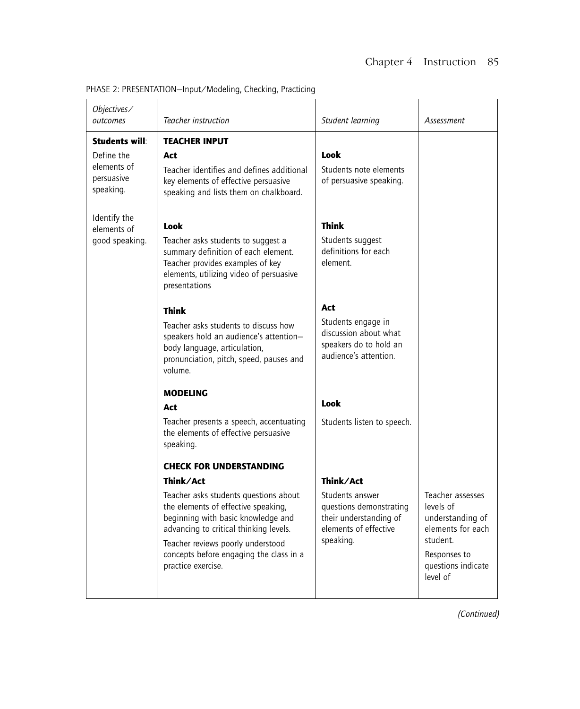| Objectives/<br>outcomes                                                | Teacher instruction                                                                                                                                                                                         | Student learning                                                                                           | Assessment                                                             |
|------------------------------------------------------------------------|-------------------------------------------------------------------------------------------------------------------------------------------------------------------------------------------------------------|------------------------------------------------------------------------------------------------------------|------------------------------------------------------------------------|
| Students will:<br>Define the<br>elements of<br>persuasive<br>speaking. | <b>TEACHER INPUT</b><br>Act<br>Teacher identifies and defines additional<br>key elements of effective persuasive                                                                                            | Look<br>Students note elements<br>of persuasive speaking.                                                  |                                                                        |
| Identify the<br>elements of<br>good speaking.                          | speaking and lists them on chalkboard.<br>Look<br>Teacher asks students to suggest a<br>summary definition of each element.<br>Teacher provides examples of key<br>elements, utilizing video of persuasive  | Think<br>Students suggest<br>definitions for each<br>element.                                              |                                                                        |
|                                                                        | presentations<br><b>Think</b><br>Teacher asks students to discuss how<br>speakers hold an audience's attention-<br>body language, articulation,<br>pronunciation, pitch, speed, pauses and<br>volume.       | Act<br>Students engage in<br>discussion about what<br>speakers do to hold an<br>audience's attention.      |                                                                        |
|                                                                        | <b>MODELING</b><br>Act<br>Teacher presents a speech, accentuating<br>the elements of effective persuasive<br>speaking.                                                                                      | Look<br>Students listen to speech.                                                                         |                                                                        |
|                                                                        | <b>CHECK FOR UNDERSTANDING</b><br>Think/Act<br>Teacher asks students questions about<br>the elements of effective speaking,<br>beginning with basic knowledge and<br>advancing to critical thinking levels. | Think/Act<br>Students answer<br>questions demonstrating<br>their understanding of<br>elements of effective | Teacher assesses<br>levels of<br>understanding of<br>elements for each |
|                                                                        | Teacher reviews poorly understood<br>concepts before engaging the class in a<br>practice exercise.                                                                                                          | speaking.                                                                                                  | student.<br>Responses to<br>questions indicate<br>level of             |

PHASE 2: PRESENTATION—Input/Modeling, Checking, Practicing

*(Continued)*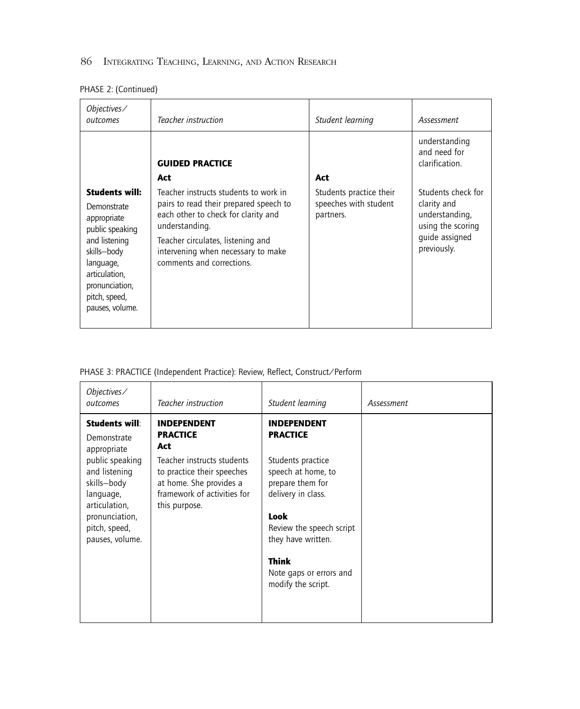| PHASE 2: (Continued) |  |
|----------------------|--|
|                      |  |

| Objects/<br>outcomes                                                                                                                                                                       | Teacher instruction                                                                                                                                                                                                                              | Student learning                                              | Assessment                                                                                                |
|--------------------------------------------------------------------------------------------------------------------------------------------------------------------------------------------|--------------------------------------------------------------------------------------------------------------------------------------------------------------------------------------------------------------------------------------------------|---------------------------------------------------------------|-----------------------------------------------------------------------------------------------------------|
|                                                                                                                                                                                            | <b>GUIDED PRACTICE</b><br>Act                                                                                                                                                                                                                    | Act                                                           | understanding<br>and need for<br>clarification.                                                           |
| <b>Students will:</b><br>Demonstrate<br>appropriate<br>public speaking<br>and listening<br>skills-body<br>language,<br>articulation,<br>pronunciation,<br>pitch, speed,<br>pauses, volume. | Teacher instructs students to work in<br>pairs to read their prepared speech to<br>each other to check for clarity and<br>understanding.<br>Teacher circulates, listening and<br>intervening when necessary to make<br>comments and corrections. | Students practice their<br>speeches with student<br>partners. | Students check for<br>clarity and<br>understanding,<br>using the scoring<br>quide assigned<br>previously. |

PHASE 3: PRACTICE (Independent Practice): Review, Reflect, Construct/Perform

| Objects/<br>outcomes                                                                                                                                                                | Teacher instruction                                                                                                                                                                 | Student learning                                                                                                                                                                                                                                      | Assessment |
|-------------------------------------------------------------------------------------------------------------------------------------------------------------------------------------|-------------------------------------------------------------------------------------------------------------------------------------------------------------------------------------|-------------------------------------------------------------------------------------------------------------------------------------------------------------------------------------------------------------------------------------------------------|------------|
| Students will:<br>Demonstrate<br>appropriate<br>public speaking<br>and listening<br>skills-body<br>language,<br>articulation,<br>pronunciation,<br>pitch, speed,<br>pauses, volume. | <b>INDEPENDENT</b><br><b>PRACTICE</b><br>Act<br>Teacher instructs students<br>to practice their speeches<br>at home. She provides a<br>framework of activities for<br>this purpose. | <b>INDEPENDENT</b><br><b>PRACTICE</b><br>Students practice<br>speech at home, to<br>prepare them for<br>delivery in class.<br>Look<br>Review the speech script<br>they have written.<br><b>Think</b><br>Note gaps or errors and<br>modify the script. |            |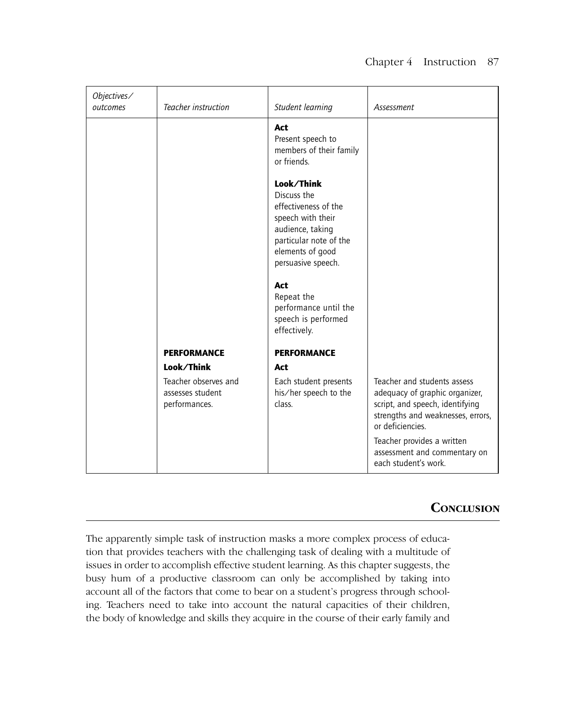| Objectives/<br>outcomes | Teacher instruction                                       | Student learning                                                                                                                                               | Assessment                                                                                                                                                |
|-------------------------|-----------------------------------------------------------|----------------------------------------------------------------------------------------------------------------------------------------------------------------|-----------------------------------------------------------------------------------------------------------------------------------------------------------|
|                         |                                                           | Act<br>Present speech to<br>members of their family<br>or friends.                                                                                             |                                                                                                                                                           |
|                         |                                                           | Look/Think<br>Discuss the<br>effectiveness of the<br>speech with their<br>audience, taking<br>particular note of the<br>elements of good<br>persuasive speech. |                                                                                                                                                           |
|                         |                                                           | Act<br>Repeat the<br>performance until the<br>speech is performed<br>effectively.                                                                              |                                                                                                                                                           |
|                         | <b>PERFORMANCE</b>                                        | <b>PERFORMANCE</b>                                                                                                                                             |                                                                                                                                                           |
|                         | Look/Think                                                | Act                                                                                                                                                            |                                                                                                                                                           |
|                         | Teacher observes and<br>assesses student<br>performances. | Each student presents<br>his/her speech to the<br>class.                                                                                                       | Teacher and students assess<br>adequacy of graphic organizer,<br>script, and speech, identifying<br>strengths and weaknesses, errors,<br>or deficiencies. |
|                         |                                                           |                                                                                                                                                                | Teacher provides a written<br>assessment and commentary on<br>each student's work.                                                                        |

## **CONCLUSION**

The apparently simple task of instruction masks a more complex process of education that provides teachers with the challenging task of dealing with a multitude of issues in order to accomplish effective student learning. As this chapter suggests, the busy hum of a productive classroom can only be accomplished by taking into account all of the factors that come to bear on a student's progress through schooling. Teachers need to take into account the natural capacities of their children, the body of knowledge and skills they acquire in the course of their early family and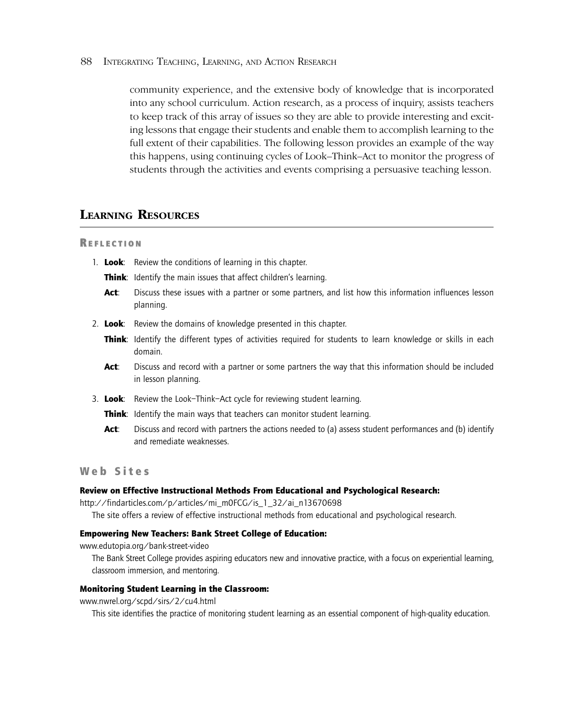community experience, and the extensive body of knowledge that is incorporated into any school curriculum. Action research, as a process of inquiry, assists teachers to keep track of this array of issues so they are able to provide interesting and exciting lessons that engage their students and enable them to accomplish learning to the full extent of their capabilities. The following lesson provides an example of the way this happens, using continuing cycles of Look–Think–Act to monitor the progress of students through the activities and events comprising a persuasive teaching lesson.

## **LEARNING RESOURCES**

#### **R E F L E C T I O N**

- 1. **Look**: Review the conditions of learning in this chapter.
	- **Think**: Identify the main issues that affect children's learning.
	- **Act**: Discuss these issues with a partner or some partners, and list how this information influences lesson planning.
- 2. **Look**: Review the domains of knowledge presented in this chapter.
	- **Think**: Identify the different types of activities required for students to learn knowledge or skills in each domain.
	- **Act**: Discuss and record with a partner or some partners the way that this information should be included in lesson planning.
- 3. **Look**: Review the Look–Think–Act cycle for reviewing student learning.
	- **Think**: Identify the main ways that teachers can monitor student learning.
	- **Act**: Discuss and record with partners the actions needed to (a) assess student performances and (b) identify and remediate weaknesses.

#### **W e b S i t e s**

#### **Review on Effective Instructional Methods From Educational and Psychological Research:**

http://findarticles.com/p/articles/mi\_m0FCG/is\_1\_32/ai\_n13670698

The site offers a review of effective instructional methods from educational and psychological research.

#### **Empowering New Teachers: Bank Street College of Education:**

www.edutopia.org/bank-street-video

The Bank Street College provides aspiring educators new and innovative practice, with a focus on experiential learning, classroom immersion, and mentoring.

#### **Monitoring Student Learning in the Classroom:**

www.nwrel.org/scpd/sirs/2/cu4.html

This site identifies the practice of monitoring student learning as an essential component of high-quality education.